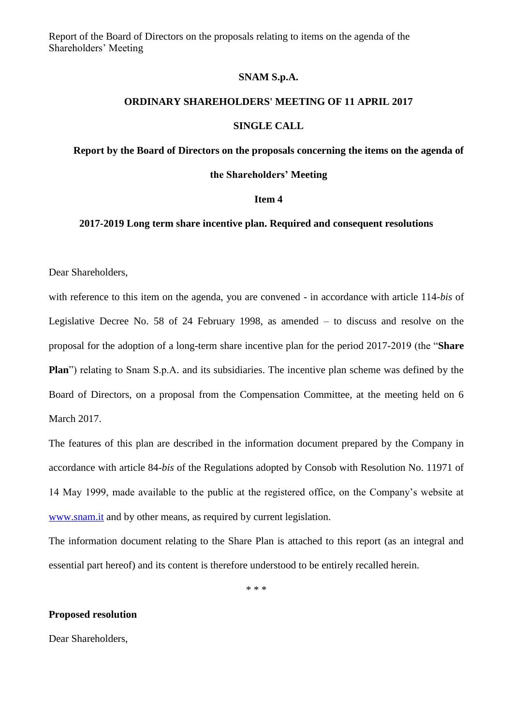Report of the Board of Directors on the proposals relating to items on the agenda of the Shareholders' Meeting

## **SNAM S.p.A.**

## **ORDINARY SHAREHOLDERS' MEETING OF 11 APRIL 2017**

### **SINGLE CALL**

**Report by the Board of Directors on the proposals concerning the items on the agenda of** 

# **the Shareholders' Meeting**

#### **Item 4**

# **2017-2019 Long term share incentive plan. Required and consequent resolutions**

Dear Shareholders,

with reference to this item on the agenda, you are convened - in accordance with article 114-*bis* of Legislative Decree No. 58 of 24 February 1998, as amended – to discuss and resolve on the proposal for the adoption of a long-term share incentive plan for the period 2017-2019 (the "**Share Plan**") relating to Snam S.p.A. and its subsidiaries. The incentive plan scheme was defined by the Board of Directors, on a proposal from the Compensation Committee, at the meeting held on 6 March 2017.

The features of this plan are described in the information document prepared by the Company in accordance with article 84-*bis* of the Regulations adopted by Consob with Resolution No. 11971 of 14 May 1999, made available to the public at the registered office, on the Company's website at [www.snam.it](http://www.snam.it/) and by other means, as required by current legislation.

The information document relating to the Share Plan is attached to this report (as an integral and essential part hereof) and its content is therefore understood to be entirely recalled herein.

\* \* \*

### **Proposed resolution**

Dear Shareholders,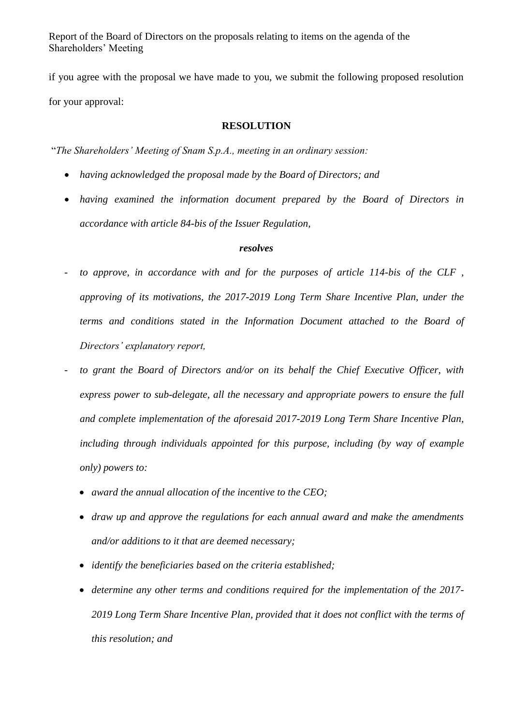Report of the Board of Directors on the proposals relating to items on the agenda of the Shareholders' Meeting

if you agree with the proposal we have made to you, we submit the following proposed resolution for your approval:

# **RESOLUTION**

"*The Shareholders' Meeting of Snam S.p.A., meeting in an ordinary session:*

- *having acknowledged the proposal made by the Board of Directors; and*
- *having examined the information document prepared by the Board of Directors in accordance with article 84-bis of the Issuer Regulation,*

## *resolves*

- *- to approve, in accordance with and for the purposes of article 114-bis of the CLF , approving of its motivations, the 2017-2019 Long Term Share Incentive Plan, under the terms and conditions stated in the Information Document attached to the Board of Directors' explanatory report,*
- *- to grant the Board of Directors and/or on its behalf the Chief Executive Officer, with express power to sub-delegate, all the necessary and appropriate powers to ensure the full and complete implementation of the aforesaid 2017-2019 Long Term Share Incentive Plan, including through individuals appointed for this purpose, including (by way of example only) powers to:* 
	- *award the annual allocation of the incentive to the CEO;*
	- *draw up and approve the regulations for each annual award and make the amendments and/or additions to it that are deemed necessary;*
	- *identify the beneficiaries based on the criteria established;*
	- *determine any other terms and conditions required for the implementation of the 2017- 2019 Long Term Share Incentive Plan, provided that it does not conflict with the terms of this resolution; and*